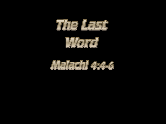

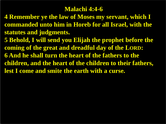#### **Malachi 4:4-6**

- **4 Remember ye the law of Moses my servant, which I commanded unto him in Horeb for all Israel, with the statutes and judgments.**
- **5 Behold, I will send you Elijah the prophet before the coming of the great and dreadful day of the LORD: 6 And he shall turn the heart of the fathers to the children, and the heart of the children to their fathers, lest I come and smite the earth with a curse.**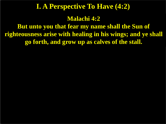#### **I. A Perspective To Have (4:2)**

#### **Malachi 4:2**

**But unto you that fear my name shall the Sun of righteousness arise with healing in his wings; and ye shall go forth, and grow up as calves of the stall.**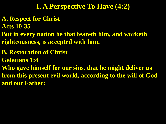# **I. A Perspective To Have (4:2)**

- **A. Respect for Christ**
- **Acts 10:35**
- **But in every nation he that feareth him, and worketh righteousness, is accepted with him.**
- **B. Restoration of Christ**
- **Galatians 1:4**
- **Who gave himself for our sins, that he might deliver us from this present evil world, according to the will of God and our Father:**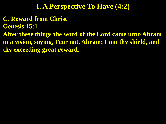# **I. A Perspective To Have (4:2)**

**C. Reward from Christ**

**Genesis 15:1**

**After these things the word of the Lord came unto Abram in a vision, saying, Fear not, Abram: I am thy shield, and thy exceeding great reward.**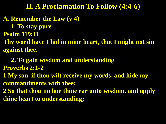**A. Remember the Law (v 4) 1. To stay pure Psalm 119:11 Thy word have I hid in mine heart, that I might not sin against thee.**

 **2. To gain wisdom and understanding Proverbs 2:1-2 1 My son, if thou wilt receive my words, and hide my commandments with thee; 2 So that thou incline thine ear unto wisdom, and apply thine heart to understanding;**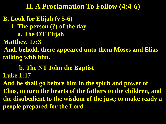**B. Look for Elijah (v 5-6) 1. The person (?) of the day a. The OT Elijah Matthew 17:3 And, behold, there appeared unto them Moses and Elias talking with him.**

 **b. The NT John the Baptist**

**Luke 1:17**

**And he shall go before him in the spirit and power of Elias, to turn the hearts of the fathers to the children, and the disobedient to the wisdom of the just; to make ready a people prepared for the Lord.**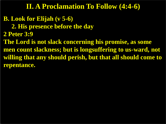- **B. Look for Elijah (v 5-6)**
	- **2. His presence before the day**
- **2 Peter 3:9**
- **The Lord is not slack concerning his promise, as some men count slackness; but is longsuffering to us-ward, not willing that any should perish, but that all should come to repentance.**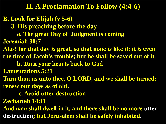#### **B. Look for Elijah (v 5-6)**

 **3. His preaching before the day**

 **a. The great Day of Judgment is coming**

**Jeremiah 30:7**

**Alas! for that day** *is* **great, so that none** *is* **like it: it** *is* **even the time of Jacob's trouble; but he shall be saved out of it.**

 **b. Turn your hearts back to God** 

**Lamentations 5:21**

**Turn thou us unto thee, O LORD, and we shall be turned; renew our days as of old.** 

 **c. Avoid utter destruction**

**Zechariah 14:11**

**And** *men* **shall dwell in it, and there shall be no more utter destruction; but Jerusalem shall be safely inhabited**.